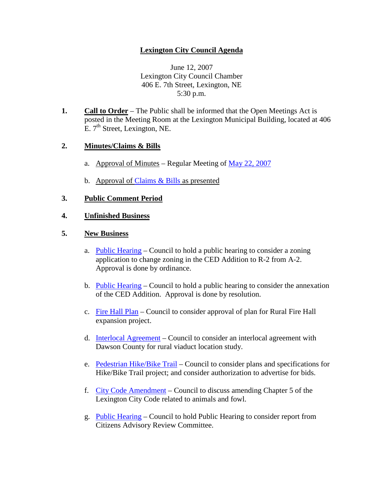# **Lexington City Council Agenda**

June 12, 2007 Lexington City Council Chamber 406 E. 7th Street, Lexington, NE 5:30 p.m.

**1. Call to Order** – The Public shall be informed that the Open Meetings Act is posted in the Meeting Room at the Lexington Municipal Building, located at 406 E. 7<sup>th</sup> Street, Lexington, NE.

## **2. Minutes/Claims & Bills**

- a. Approval of Minutes Regular Meeting of May [22, 2007](http://info.cityoflex.com/ccdocs/Minutes/2007/May22.pdf)
- b. Approval of [Claims & Bills](http://info.cityoflex.com/ccdocs/Meeting/2007/June12/claims061207.pdf) as presented

#### **3. Public Comment Period**

## **4. Unfinished Business**

#### **5. New Business**

- a. [Public Hearing](http://info.cityoflex.com/ccdocs/Meeting/2007/June12/5a061207.pdf) Council to hold a public hearing to consider a zoning application to change zoning in the CED Addition to R-2 from A-2. Approval is done by ordinance.
- b. [Public Hearing](http://info.cityoflex.com/ccdocs/Meeting/2007/June12/5b061207.pdf) Council to hold a public hearing to consider the annexation of the CED Addition. Approval is done by resolution.
- c. [Fire Hall Plan](http://info.cityoflex.com/ccdocs/Meeting/2007/June12/5c061207.pdf) Council to consider approval of plan for Rural Fire Hall expansion project.
- d. [Interlocal Agreement](http://info.cityoflex.com/ccdocs/Meeting/2007/June12/5d061207.pdf) Council to consider an interlocal agreement with Dawson County for rural viaduct location study.
- e. [Pedestrian Hike/Bike Trail](http://info.cityoflex.com/ccdocs/Meeting/2007/June12/5e061207.pdf) Council to consider plans and specifications for Hike/Bike Trail project; and consider authorization to advertise for bids.
- f. [City Code Amendment](http://info.cityoflex.com/ccdocs/Meeting/2007/June12/5f061207.pdf) Council to discuss amending Chapter 5 of the Lexington City Code related to animals and fowl.
- g. [Public Hearing](http://info.cityoflex.com/ccdocs/Meeting/2007/June12/5g061207.pdf) Council to hold Public Hearing to consider report from Citizens Advisory Review Committee.